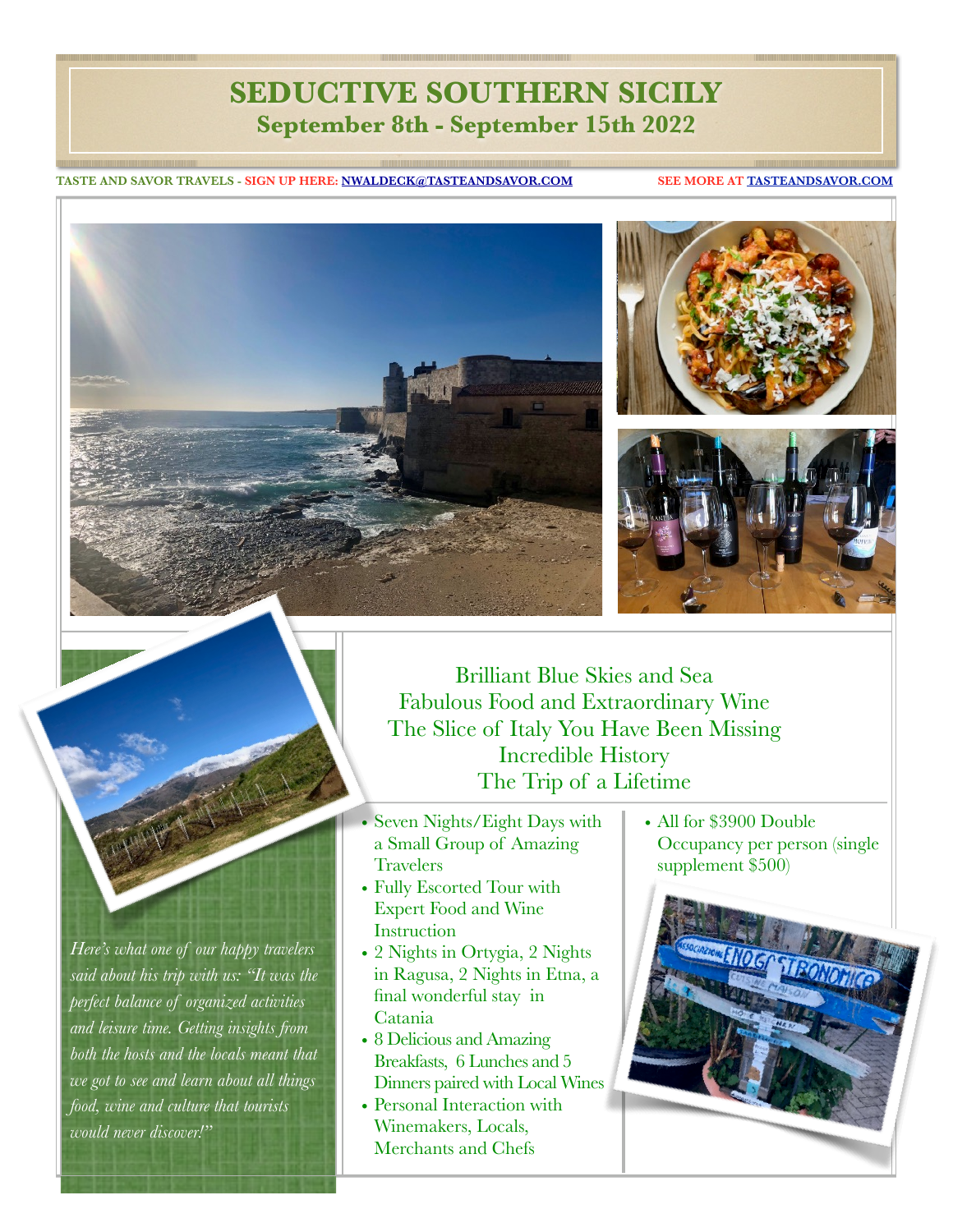## **SEDUCTIVE SOUTHERN SICILY September 8th - September 15th 2022**

**TASTE AND SAVOR TRAVELS - SIGN UP HERE: [NWALDECK@TASTEANDSAVOR.COM](mailto:nwaldeck@tasteandsavor.com) SEE MORE AT [TASTEANDSAVOR.COM](https://tasteandsavor.com/taste-and-savor-travels/about-taste-and-savor-travels/)**









*Here's what one of our happy travelers said about his trip with us: "It was the perfect balance of organized activities and leisure time. Getting insights from both the hosts and the locals meant that we got to see and learn about all things food, wine and culture that tourists would never discover!"*

Brilliant Blue Skies and Sea Fabulous Food and Extraordinary Wine The Slice of Italy You Have Been Missing Incredible History The Trip of a Lifetime

- Seven Nights/Eight Days with a Small Group of Amazing **Travelers**
- Fully Escorted Tour with Expert Food and Wine **Instruction**
- 2 Nights in Ortygia, 2 Nights in Ragusa, 2 Nights in Etna, a final wonderful stay in Catania
- 8 Delicious and Amazing Breakfasts, 6 Lunches and 5 Dinners paired with Local Wines
- Personal Interaction with Winemakers, Locals, Merchants and Chefs

• All for \$3900 Double Occupancy per person (single supplement \$500)